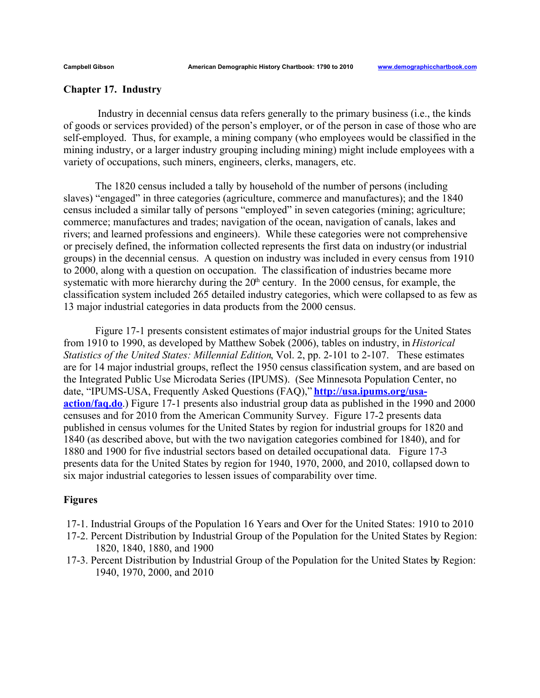## **Chapter 17. Industry**

 Industry in decennial census data refers generally to the primary business (i.e., the kinds of goods or services provided) of the person's employer, or of the person in case of those who are self-employed. Thus, for example, a mining company (who employees would be classified in the mining industry, or a larger industry grouping including mining) might include employees with a variety of occupations, such miners, engineers, clerks, managers, etc.

The 1820 census included a tally by household of the number of persons (including slaves) "engaged" in three categories (agriculture, commerce and manufactures); and the 1840 census included a similar tally of persons "employed" in seven categories (mining; agriculture; commerce; manufactures and trades; navigation of the ocean, navigation of canals, lakes and rivers; and learned professions and engineers). While these categories were not comprehensive or precisely defined, the information collected represents the first data on industry (or industrial groups) in the decennial census. A question on industry was included in every census from 1910 to 2000, along with a question on occupation. The classification of industries became more systematic with more hierarchy during the  $20<sup>th</sup>$  century. In the 2000 census, for example, the classification system included 265 detailed industry categories, which were collapsed to as few as 13 major industrial categories in data products from the 2000 census.

Figure 17-1 presents consistent estimates of major industrial groups for the United States from 1910 to 1990, as developed by Matthew Sobek (2006), tables on industry, in *Historical Statistics of the United States: Millennial Edition*, Vol. 2, pp. 2-101 to 2-107. These estimates are for 14 major industrial groups, reflect the 1950 census classification system, and are based on the Integrated Public Use Microdata Series (IPUMS). (See Minnesota Population Center, no date, "IPUMS-USA, Frequently Asked Questions (FAQ)," **[http://usa.ipums.org/usa](http://usa.ipums.org/usa-action/faq.do)[action/faq.do](http://usa.ipums.org/usa-action/faq.do)**.) Figure 17-1 presents also industrial group data as published in the 1990 and 2000 censuses and for 2010 from the American Community Survey. Figure 17-2 presents data published in census volumes for the United States by region for industrial groups for 1820 and 1840 (as described above, but with the two navigation categories combined for 1840), and for 1880 and 1900 for five industrial sectors based on detailed occupational data. Figure 17-3 presents data for the United States by region for 1940, 1970, 2000, and 2010, collapsed down to six major industrial categories to lessen issues of comparability over time.

## **Figures**

- 17-1. Industrial Groups of the Population 16 Years and Over for the United States: 1910 to 2010
- 17-2. Percent Distribution by Industrial Group of the Population for the United States by Region: 1820, 1840, 1880, and 1900
- 17-3. Percent Distribution by Industrial Group of the Population for the United States by Region: 1940, 1970, 2000, and 2010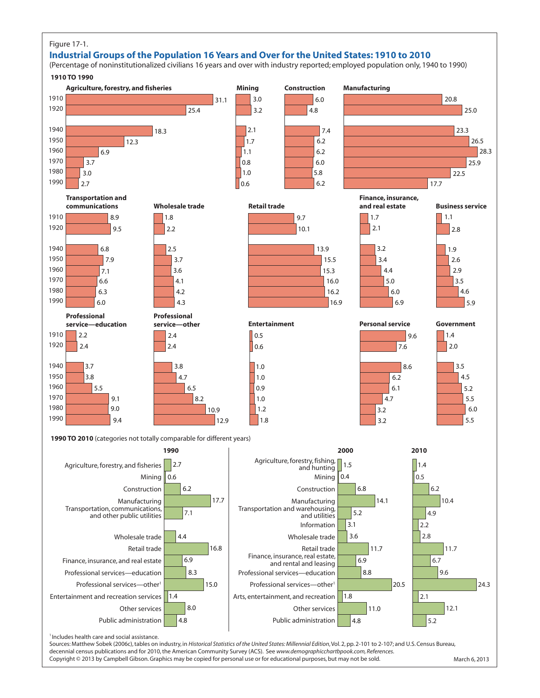## Figure 17-1.

## **Industrial Groups of the Population 16 Years and Over for the United States: 1910 to 2010**

(Percentage of noninstitutionalized civilians 16 years and over with industry reported; employed population only, 1940 to 1990) **1910 TO 1990**



<sup>1</sup> Includes health care and social assistance.

Sources: Matthew Sobek (2006c), tables on industry, in *Historical Statistics of the United States: Millennial Edition*, Vol. 2, pp. 2-101 to 2-107; and U.S. Census Bureau, decennial census publications and for 2010, the American Community Survey (ACS). See *www.demographicchartbpook.com, References*. Copyright © 2013 by Campbell Gibson. Graphics may be copied for personal use or for educational purposes, but may not be sold. March 6, 2013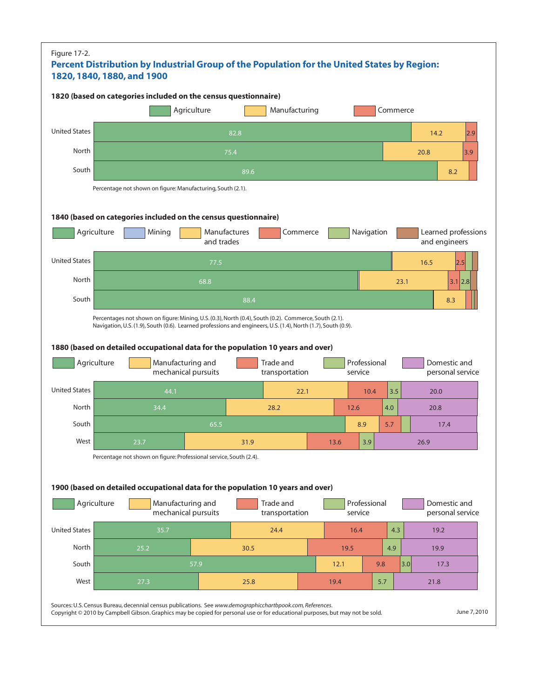| Figure 17-2.<br>1820, 1840, 1880, and 1900 | Percent Distribution by Industrial Group of the Population for the United States by Region:                                                           |                                                                                                                                |          |                         |                                      |
|--------------------------------------------|-------------------------------------------------------------------------------------------------------------------------------------------------------|--------------------------------------------------------------------------------------------------------------------------------|----------|-------------------------|--------------------------------------|
|                                            | 1820 (based on categories included on the census questionnaire)<br>Agriculture                                                                        | Manufacturing                                                                                                                  |          |                         | Commerce                             |
|                                            |                                                                                                                                                       |                                                                                                                                |          |                         |                                      |
| <b>United States</b>                       |                                                                                                                                                       | 82.8                                                                                                                           |          |                         | 14.2<br> 2.9                         |
| North                                      |                                                                                                                                                       | 75.4                                                                                                                           |          |                         | 20.8<br>3.9                          |
| South                                      |                                                                                                                                                       | 89.6                                                                                                                           |          |                         | 8.2                                  |
|                                            | Percentage not shown on figure: Manufacturing, South (2.1).                                                                                           |                                                                                                                                |          |                         |                                      |
|                                            | 1840 (based on categories included on the census questionnaire)                                                                                       |                                                                                                                                |          |                         |                                      |
| Agriculture                                | Mining                                                                                                                                                | <b>Manufactures</b><br>and trades                                                                                              | Commerce | Navigation              | Learned professions<br>and engineers |
| <b>United States</b>                       |                                                                                                                                                       | 77.5                                                                                                                           |          |                         | 16.5<br>2.5                          |
| North                                      | 68.8                                                                                                                                                  |                                                                                                                                |          |                         | 23.1<br>3.1 2.8                      |
| South                                      |                                                                                                                                                       | 88.4                                                                                                                           |          |                         | 8.3                                  |
| Agriculture                                | 1880 (based on detailed occupational data for the population 10 years and over)<br>Manufacturing and<br>mechanical pursuits                           | Trade and<br>transportation                                                                                                    |          | Professional<br>service | Domestic and<br>personal service     |
| <b>United States</b>                       | 44.1                                                                                                                                                  |                                                                                                                                | 22.1     | 3.5<br>10.4             | 20.0                                 |
| North                                      | 34.4                                                                                                                                                  | 28.2                                                                                                                           | 12.6     | 4.0                     | 20.8                                 |
| South                                      |                                                                                                                                                       | 65.5                                                                                                                           |          | 5.7<br>8.9              | 17.4                                 |
| West                                       | 23.7                                                                                                                                                  | 31.9                                                                                                                           | 13.6     | 3.9                     | 26.9                                 |
|                                            | Percentage not shown on figure: Professional service, South (2.4).<br>1900 (based on detailed occupational data for the population 10 years and over) |                                                                                                                                |          |                         |                                      |
| Agriculture                                | Manufacturing and<br>mechanical pursuits                                                                                                              | Trade and<br>transportation                                                                                                    |          | Professional<br>service | Domestic and<br>personal service     |
| <b>United States</b>                       | 35.7                                                                                                                                                  | 24.4                                                                                                                           |          | 16.4                    | 4.3<br>19.2                          |
| North                                      | 25.2                                                                                                                                                  | 30.5                                                                                                                           | 19.5     | 4.9                     | 19.9                                 |
| South                                      | 57.9                                                                                                                                                  |                                                                                                                                | 12.1     | 9.8                     | 3.0<br>17.3                          |
| West                                       | 27.3                                                                                                                                                  | 25.8                                                                                                                           | 19.4     | 5.7                     | 21.8                                 |
|                                            | Sources: U.S. Census Bureau, decennial census publications. See www.demographicchartbpook.com, References.                                            | Copyright © 2010 by Campbell Gibson. Graphics may be copied for personal use or for educational purposes, but may not be sold. |          |                         | June 7, 2010                         |